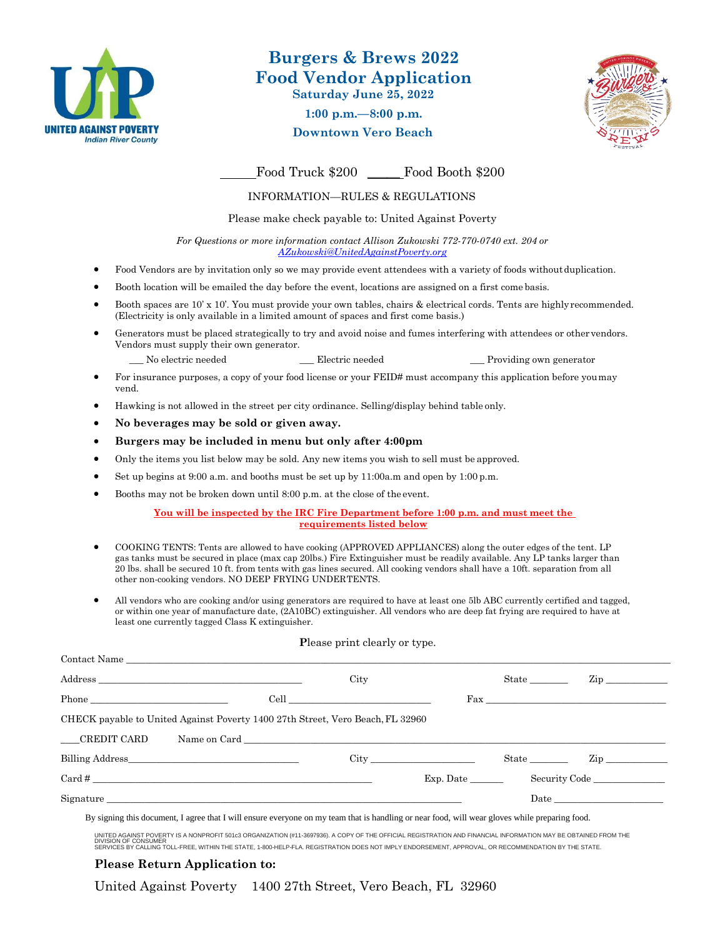

# **Burgers & Brews 2022 Food Vendor Application Saturday June 25, 2022**

**1:00 p.m.—8:00 p.m.**

**Downtown Vero Beach**



Food Truck \$200 Food Booth \$200

### INFORMATION—RULES & REGULATIONS

Please make check payable to: United Against Poverty

*For Questions or more information contact Allison Zukowski 772-770-0740 ext. 204 or [AZukowski@UnitedAgainstPoverty.org](mailto:AZukowski@UnitedAgainstPoverty.org)*

- Food Vendors are by invitation only so we may provide event attendees with a variety of foods withoutduplication.
- Booth location will be emailed the day before the event, locations are assigned on a first come basis.
- Booth spaces are 10' x 10'. You must provide your own tables, chairs & electrical cords. Tents are highly recommended. (Electricity is only available in a limited amount of spaces and first come basis.)
- Generators must be placed strategically to try and avoid noise and fumes interfering with attendees or othervendors. Vendors must supply their own generator.

No electric needed Electric needed Electric needed Providing own generator

- For insurance purposes, a copy of your food license or your FEID# must accompany this application before youmay vend.
- Hawking is not allowed in the street per city ordinance. Selling/display behind table only.
- **No beverages may be sold or given away.**
- **Burgers may be included in menu but only after 4:00pm**
- Only the items you list below may be sold. Any new items you wish to sell must be approved.
- Set up begins at 9:00 a.m. and booths must be set up by 11:00a.m and open by 1:00 p.m.
- Booths may not be broken down until 8:00 p.m. at the close of the event.

**You will be inspected by the IRC Fire Department before 1:00 p.m. and must meet the requirements listed below**

- COOKING TENTS: Tents are allowed to have cooking (APPROVED APPLIANCES) along the outer edges of the tent. LP gas tanks must be secured in place (max cap 20lbs.) Fire Extinguisher must be readily available. Any LP tanks larger than 20 lbs. shall be secured 10 ft. from tents with gas lines secured. All cooking vendors shall have a 10ft. separation from all other non-cooking vendors. NO DEEP FRYING UNDERTENTS.
- All vendors who are cooking and/or using generators are required to have at least one 5lb ABC currently certified and tagged, or within one year of manufacture date, (2A10BC) extinguisher. All vendors who are deep fat frying are required to have at least one currently tagged Class K extinguisher.

#### **P**lease print clearly or type.

|                                                                                | City         |           | State | $\mathbf{Zip}$                                                                                                                                                                                                                |  |
|--------------------------------------------------------------------------------|--------------|-----------|-------|-------------------------------------------------------------------------------------------------------------------------------------------------------------------------------------------------------------------------------|--|
|                                                                                |              |           |       |                                                                                                                                                                                                                               |  |
| CHECK payable to United Against Poverty 1400 27th Street, Vero Beach, FL 32960 |              |           |       |                                                                                                                                                                                                                               |  |
| CREDIT CARD                                                                    | Name on Card |           |       |                                                                                                                                                                                                                               |  |
| Billing Address                                                                |              |           | State | $\mathbf{Zip}$                                                                                                                                                                                                                |  |
| $Card \#$                                                                      |              | Exp. Date |       | Security Code                                                                                                                                                                                                                 |  |
| Signature                                                                      |              |           |       | Date and the set of the set of the set of the set of the set of the set of the set of the set of the set of the set of the set of the set of the set of the set of the set of the set of the set of the set of the set of the |  |
|                                                                                |              |           |       |                                                                                                                                                                                                                               |  |

By signing this document, I agree that I will ensure everyone on my team that is handling or near food, will wear gloves while preparing food.

UNITED AGAINST POVERTY IS A NONPROFIT 501c3 ORGANIZATION (#11-3697936). A COPY OF THE OFFICIAL REGISTRATION AN PHORMATION MAY BE OBTAINED FROM THE<br>DIVISION OF CONSUMER<br>SERVICES BY CALLING TOLL-FREE, WITHIN THE STATE, 1-800

### **Please Return Application to:**

United Against Poverty 1400 27th Street, Vero Beach, FL 32960